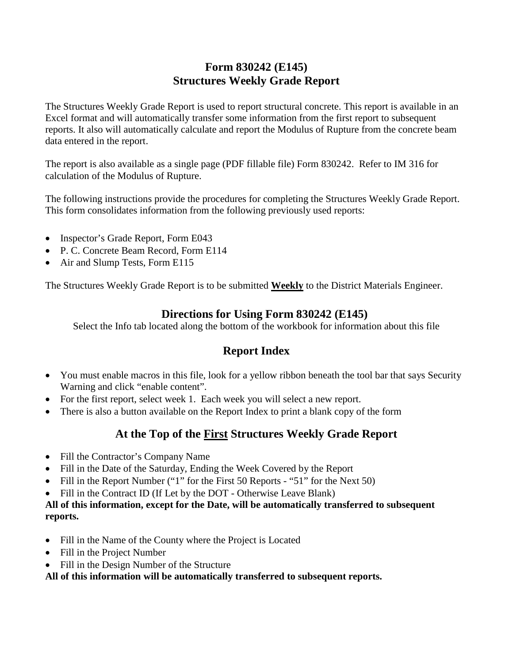# **Form 830242 (E145) Structures Weekly Grade Report**

The Structures Weekly Grade Report is used to report structural concrete. This report is available in an Excel format and will automatically transfer some information from the first report to subsequent reports. It also will automatically calculate and report the Modulus of Rupture from the concrete beam data entered in the report.

The report is also available as a single page (PDF fillable file) Form 830242. Refer to IM 316 for calculation of the Modulus of Rupture.

The following instructions provide the procedures for completing the Structures Weekly Grade Report. This form consolidates information from the following previously used reports:

- Inspector's Grade Report, Form E043
- P. C. Concrete Beam Record, Form E114
- Air and Slump Tests, Form E115

The Structures Weekly Grade Report is to be submitted **Weekly** to the District Materials Engineer.

## **Directions for Using Form 830242 (E145)**

Select the Info tab located along the bottom of the workbook for information about this file

# **Report Index**

- You must enable macros in this file, look for a yellow ribbon beneath the tool bar that says Security Warning and click "enable content".
- For the first report, select week 1. Each week you will select a new report.
- There is also a button available on the Report Index to print a blank copy of the form

# **At the Top of the First Structures Weekly Grade Report**

- Fill the Contractor's Company Name
- Fill in the Date of the Saturday, Ending the Week Covered by the Report
- Fill in the Report Number ("1" for the First 50 Reports "51" for the Next 50)
- Fill in the Contract ID (If Let by the DOT Otherwise Leave Blank)

#### **All of this information, except for the Date, will be automatically transferred to subsequent reports.**

- Fill in the Name of the County where the Project is Located
- Fill in the Project Number
- Fill in the Design Number of the Structure

**All of this information will be automatically transferred to subsequent reports.**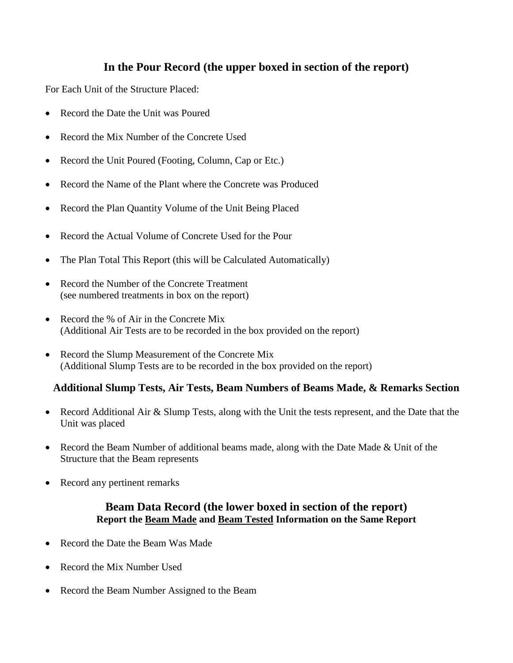## **In the Pour Record (the upper boxed in section of the report)**

For Each Unit of the Structure Placed:

- Record the Date the Unit was Poured
- Record the Mix Number of the Concrete Used
- Record the Unit Poured (Footing, Column, Cap or Etc.)
- Record the Name of the Plant where the Concrete was Produced
- Record the Plan Quantity Volume of the Unit Being Placed
- Record the Actual Volume of Concrete Used for the Pour
- The Plan Total This Report (this will be Calculated Automatically)
- Record the Number of the Concrete Treatment (see numbered treatments in box on the report)
- Record the % of Air in the Concrete Mix (Additional Air Tests are to be recorded in the box provided on the report)
- Record the Slump Measurement of the Concrete Mix (Additional Slump Tests are to be recorded in the box provided on the report)

#### **Additional Slump Tests, Air Tests, Beam Numbers of Beams Made, & Remarks Section**

- Record Additional Air & Slump Tests, along with the Unit the tests represent, and the Date that the Unit was placed
- Record the Beam Number of additional beams made, along with the Date Made & Unit of the Structure that the Beam represents
- Record any pertinent remarks

#### **Beam Data Record (the lower boxed in section of the report) Report the Beam Made and Beam Tested Information on the Same Report**

- Record the Date the Beam Was Made
- Record the Mix Number Used
- Record the Beam Number Assigned to the Beam